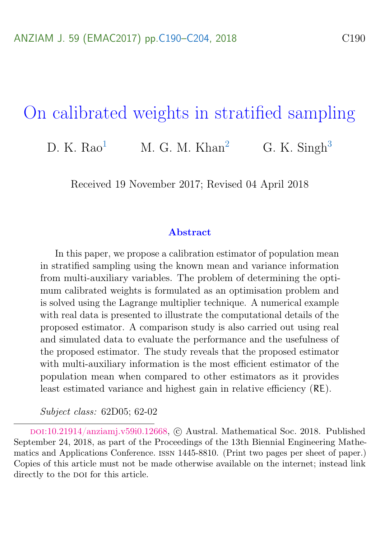## <span id="page-0-0"></span>On calibrated weights in stratified sampling

D. K.  $Rao<sup>1</sup>$  $Rao<sup>1</sup>$  $Rao<sup>1</sup>$  M. G. M.  $Khan<sup>2</sup>$  $Khan<sup>2</sup>$  $Khan<sup>2</sup>$  G. K. Singh<sup>[3](#page-14-0)</sup>

Received 19 November 2017; Revised 04 April 2018

#### Abstract

In this paper, we propose a calibration estimator of population mean in stratified sampling using the known mean and variance information from multi-auxiliary variables. The problem of determining the optimum calibrated weights is formulated as an optimisation problem and is solved using the Lagrange multiplier technique. A numerical example with real data is presented to illustrate the computational details of the proposed estimator. A comparison study is also carried out using real and simulated data to evaluate the performance and the usefulness of the proposed estimator. The study reveals that the proposed estimator with multi-auxiliary information is the most efficient estimator of the population mean when compared to other estimators as it provides least estimated variance and highest gain in relative efficiency (RE).

Subject class: 62D05; 62-02

doi:[10.21914/anziamj.v59i0.12668,](https://doi.org/10.21914/anziamj.v59i0.12668) c Austral. Mathematical Soc. 2018. Published September 24, 2018, as part of the Proceedings of the 13th Biennial Engineering Mathematics and Applications Conference. issn 1445-8810. (Print two pages per sheet of paper.) Copies of this article must not be made otherwise available on the internet; instead link directly to the poi for this article.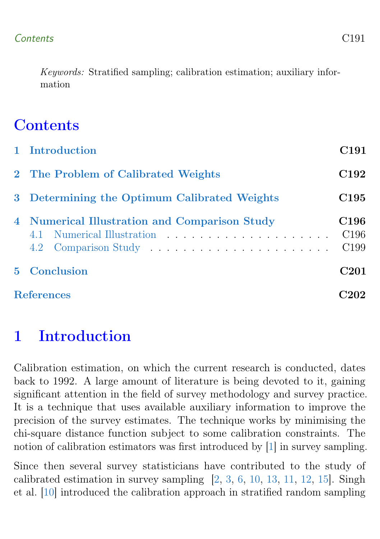<span id="page-1-1"></span>Keywords: Stratified sampling; calibration estimation; auxiliary information

# **Contents**

| 1 Introduction                                                              | C <sub>191</sub>                                         |
|-----------------------------------------------------------------------------|----------------------------------------------------------|
| 2 The Problem of Calibrated Weights                                         | C <sub>192</sub>                                         |
| 3 Determining the Optimum Calibrated Weights                                | C <sub>195</sub>                                         |
| 4 Numerical Illustration and Comparison Study<br>4.1 Numerical Illustration | C <sub>196</sub><br>C <sub>196</sub><br>C <sub>199</sub> |
| <b>5</b> Conclusion                                                         | C <sub>201</sub>                                         |
| <b>References</b>                                                           | :02                                                      |

# <span id="page-1-0"></span>1 Introduction

Calibration estimation, on which the current research is conducted, dates back to 1992. A large amount of literature is being devoted to it, gaining significant attention in the field of survey methodology and survey practice. It is a technique that uses available auxiliary information to improve the precision of the survey estimates. The technique works by minimising the chi-square distance function subject to some calibration constraints. The notion of calibration estimators was first introduced by [\[1\]](#page-12-1) in survey sampling.

Since then several survey statisticians have contributed to the study of calibrated estimation in survey sampling  $[2, 3, 6, 10, 13, 11, 12, 15]$  $[2, 3, 6, 10, 13, 11, 12, 15]$  $[2, 3, 6, 10, 13, 11, 12, 15]$  $[2, 3, 6, 10, 13, 11, 12, 15]$  $[2, 3, 6, 10, 13, 11, 12, 15]$  $[2, 3, 6, 10, 13, 11, 12, 15]$  $[2, 3, 6, 10, 13, 11, 12, 15]$  $[2, 3, 6, 10, 13, 11, 12, 15]$  $[2, 3, 6, 10, 13, 11, 12, 15]$  $[2, 3, 6, 10, 13, 11, 12, 15]$  $[2, 3, 6, 10, 13, 11, 12, 15]$  $[2, 3, 6, 10, 13, 11, 12, 15]$  $[2, 3, 6, 10, 13, 11, 12, 15]$  $[2, 3, 6, 10, 13, 11, 12, 15]$  $[2, 3, 6, 10, 13, 11, 12, 15]$ . Singh et al. [\[10\]](#page-13-0) introduced the calibration approach in stratified random sampling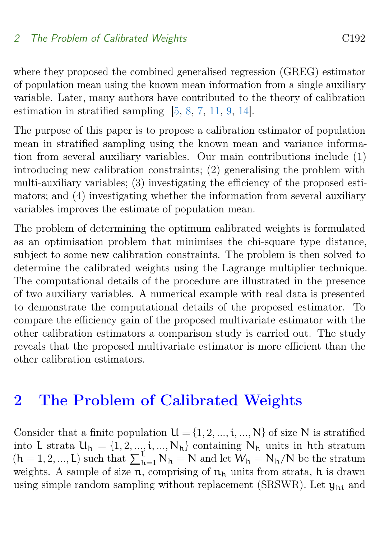<span id="page-2-1"></span>where they proposed the combined generalised regression (GREG) estimator of population mean using the known mean information from a single auxiliary variable. Later, many authors have contributed to the theory of calibration estimation in stratified sampling [\[5,](#page-12-5) [8,](#page-12-6) [7,](#page-12-7) [11,](#page-13-2) [9,](#page-13-5) [14\]](#page-13-6).

The purpose of this paper is to propose a calibration estimator of population mean in stratified sampling using the known mean and variance information from several auxiliary variables. Our main contributions include (1) introducing new calibration constraints; (2) generalising the problem with multi-auxiliary variables; (3) investigating the efficiency of the proposed estimators; and (4) investigating whether the information from several auxiliary variables improves the estimate of population mean.

The problem of determining the optimum calibrated weights is formulated as an optimisation problem that minimises the chi-square type distance, subject to some new calibration constraints. The problem is then solved to determine the calibrated weights using the Lagrange multiplier technique. The computational details of the procedure are illustrated in the presence of two auxiliary variables. A numerical example with real data is presented to demonstrate the computational details of the proposed estimator. To compare the efficiency gain of the proposed multivariate estimator with the other calibration estimators a comparison study is carried out. The study reveals that the proposed multivariate estimator is more efficient than the other calibration estimators.

### <span id="page-2-0"></span>2 The Problem of Calibrated Weights

Consider that a finite population  $U = \{1, 2, ..., i, ..., N\}$  of size N is stratified into L strata  $U_h = \{1, 2, ..., i, ..., N_h\}$  containing  $N_h$  units in hth stratum  $(h = 1, 2, ..., L)$  such that  $\sum_{h=1}^{L} N_h = N$  and let  $W_h = N_h/N$  be the stratum weights. A sample of size  $n$ , comprising of  $n_h$  units from strata, h is drawn using simple random sampling without replacement (SRSWR). Let  $y_{hi}$  and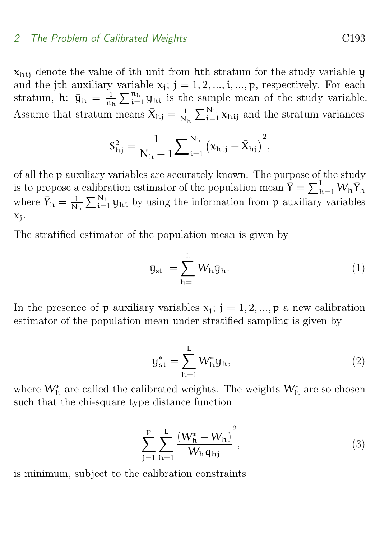#### 2 The Problem of Calibrated Weights C193

 $x<sub>hij</sub>$  denote the value of ith unit from hth stratum for the study variable y and the jth auxiliary variable  $x_j$ ;  $j = 1, 2, ..., i, ..., p$ , respectively. For each stratum, h:  $\bar{y}_h = \frac{1}{n_1}$  $\frac{1}{n_h} \sum_{i=1}^{n_h} y_{hi}$  is the sample mean of the study variable. Assume that stratum means  $\bar{X}_{hj} = \frac{1}{N}$  $\frac{1}{N_h} \sum_{i=1}^{N_h} \chi_{hij}$  and the stratum variances

$$
S_{hj}^{2} = \frac{1}{N_{h} - 1} \sum_{i=1}^{N_{h}} (x_{hij} - \bar{X}_{hj})^{2},
$$

of all the p auxiliary variables are accurately known. The purpose of the study is to propose a calibration estimator of the population mean  $\bar{Y} = \sum_{h=1}^{L} W_h \bar{Y}_h$ where  $\bar{Y}_h = \frac{1}{N}$  $\frac{1}{N_h} \sum_{i=1}^{N_h} y_{hi}$  by using the information from p auxiliary variables  $x_j$ .

The stratified estimator of the population mean is given by

$$
\bar{y}_{\rm st} = \sum_{h=1}^{L} W_h \bar{y}_h.
$$
\n(1)

In the presence of  $p$  auxiliary variables  $x_j$ ;  $j = 1, 2, ..., p$  a new calibration estimator of the population mean under stratified sampling is given by

<span id="page-3-0"></span>
$$
\bar{y}_{st}^* = \sum_{h=1}^L W_h^* \bar{y}_h,\tag{2}
$$

where  $W_h^*$  are called the calibrated weights. The weights  $W_h^*$  are so chosen such that the chi-square type distance function

$$
\sum_{j=1}^{p} \sum_{h=1}^{L} \frac{(W_h^* - W_h)^2}{W_h q_{hj}},
$$
\n(3)

is minimum, subject to the calibration constraints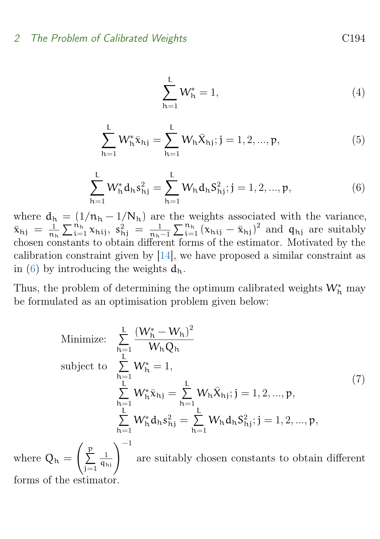$$
\sum_{h=1}^{L} W_h^* = 1,
$$
\n(4)

<span id="page-4-2"></span>
$$
\sum_{h=1}^{L} W_h^* \bar{x}_{hj} = \sum_{h=1}^{L} W_h \bar{X}_{hj}; j = 1, 2, ..., p,
$$
 (5)

<span id="page-4-0"></span>
$$
\sum_{h=1}^{L} W_h^* d_h s_{hj}^2 = \sum_{h=1}^{L} W_h d_h S_{hj}^2; j = 1, 2, ..., p,
$$
 (6)

where  $d_h = (1/n_h - 1/N_h)$  are the weights associated with the variance,  $\bar{x}_{hj} = \frac{1}{n_1}$  $\frac{1}{n_h} \sum_{i=1}^{n_h} x_{hij}, s_{hj}^2 = \frac{1}{n_h}$  $\frac{1}{n_h-1}\sum_{i=1}^{n_h} (x_{hij} - \bar{x}_{hj})^2$  and  $q_{hj}$  are suitably chosen constants to obtain different forms of the estimator. Motivated by the calibration constraint given by [\[14\]](#page-13-6), we have proposed a similar constraint as in [\(6\)](#page-4-0) by introducing the weights  $d_h$ .

Thus, the problem of determining the optimum calibrated weights  $\mathsf{W}_\hbar^\ast$  may be formulated as an optimisation problem given below:

<span id="page-4-1"></span>Minimize: 
$$
\sum_{h=1}^{L} \frac{(W_h^* - W_h)^2}{W_h Q_h}
$$
  
\nsubject to 
$$
\sum_{h=1}^{L} W_h^* = 1,
$$
  
\n
$$
\sum_{h=1}^{L} W_h^* \bar{x}_{hj} = \sum_{h=1}^{L} W_h \bar{X}_{hj}; j = 1, 2, ..., p,
$$
  
\n
$$
\sum_{h=1}^{L} W_h^* d_h s_{hj}^2 = \sum_{h=1}^{L} W_h d_h S_{hj}^2; j = 1, 2, ..., p,
$$
  
\nwhere  $Q_h = \left(\sum_{j=1}^{p} \frac{1}{q_{hj}}\right)^{-1}$  are suitably chosen constants to obtain different

forms of the estimator.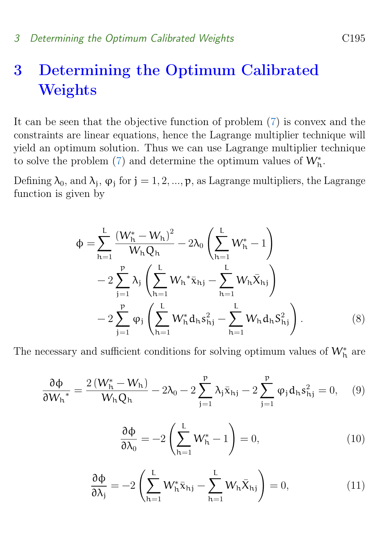## <span id="page-5-0"></span>3 Determining the Optimum Calibrated Weights

It can be seen that the objective function of problem [\(7\)](#page-4-1) is convex and the constraints are linear equations, hence the Lagrange multiplier technique will yield an optimum solution. Thus we can use Lagrange multiplier technique to solve the problem [\(7\)](#page-4-1) and determine the optimum values of  $W_h^*$ .

Defining  $\lambda_0$ , and  $\lambda_j$ ,  $\varphi_j$  for  $j = 1, 2, ..., p$ , as Lagrange multipliers, the Lagrange function is given by

$$
\Phi = \sum_{h=1}^{L} \frac{(W_h^* - W_h)^2}{W_h Q_h} - 2\lambda_0 \left(\sum_{h=1}^{L} W_h^* - 1\right)
$$
  
- 2 $\sum_{j=1}^{p} \lambda_j \left(\sum_{h=1}^{L} W_h^* \bar{x}_{hj} - \sum_{h=1}^{L} W_h \bar{X}_{hj}\right)$   
- 2 $\sum_{j=1}^{p} \varphi_j \left(\sum_{h=1}^{L} W_h^* d_h s_{hj}^2 - \sum_{h=1}^{L} W_h d_h S_{hj}^2\right).$  (8)

The necessary and sufficient conditions for solving optimum values of  $\mathsf{W}_\hbar^*$  are

<span id="page-5-1"></span>
$$
\frac{\partial \Phi}{\partial W_{h}} = \frac{2 (W_{h}^{*} - W_{h})}{W_{h} Q_{h}} - 2\lambda_{0} - 2\sum_{j=1}^{p} \lambda_{j} \bar{x}_{hj} - 2\sum_{j=1}^{p} \varphi_{j} d_{h} s_{hj}^{2} = 0, \quad (9)
$$

<span id="page-5-2"></span>
$$
\frac{\partial \Phi}{\partial \lambda_0} = -2 \left( \sum_{h=1}^{L} W_h^* - 1 \right) = 0, \tag{10}
$$

$$
\frac{\partial \Phi}{\partial \lambda_j} = -2 \left( \sum_{h=1}^{L} W_h^* \bar{x}_{hj} - \sum_{h=1}^{L} W_h \bar{X}_{hj} \right) = 0, \qquad (11)
$$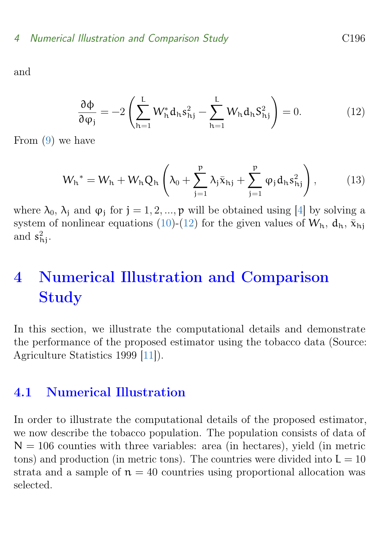<span id="page-6-4"></span>and

<span id="page-6-2"></span>
$$
\frac{\partial \Phi}{\partial \varphi_j} = -2 \left( \sum_{h=1}^L W_h^* d_h s_{hj}^2 - \sum_{h=1}^L W_h d_h s_{hj}^2 \right) = 0. \tag{12}
$$

From [\(9\)](#page-5-1) we have

<span id="page-6-3"></span>
$$
W_{h}^* = W_{h} + W_{h} Q_{h} \left( \lambda_0 + \sum_{j=1}^{p} \lambda_j \bar{x}_{hj} + \sum_{j=1}^{p} \varphi_j d_{h} s_{hj}^2 \right),
$$
 (13)

where  $\lambda_0$ ,  $\lambda_j$  and  $\varphi_j$  for  $j = 1, 2, ..., p$  will be obtained using [\[4\]](#page-12-8) by solving a system of nonlinear equations [\(10\)](#page-5-2)-[\(12\)](#page-6-2) for the given values of  $W_h$ ,  $d_h$ ,  $\bar{x}_{hi}$ and  $s_{\text{hj}}^2$ .

# <span id="page-6-0"></span>4 Numerical Illustration and Comparison Study

In this section, we illustrate the computational details and demonstrate the performance of the proposed estimator using the tobacco data (Source: Agriculture Statistics 1999 [\[11\]](#page-13-2)).

### <span id="page-6-1"></span>4.1 Numerical Illustration

In order to illustrate the computational details of the proposed estimator, we now describe the tobacco population. The population consists of data of  $N = 106$  counties with three variables: area (in hectares), yield (in metric tons) and production (in metric tons). The countries were divided into  $L = 10$ strata and a sample of  $n = 40$  countries using proportional allocation was selected.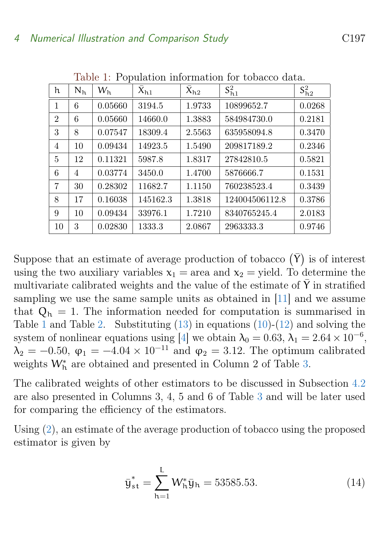<span id="page-7-1"></span>

| h              | N <sub>h</sub> | W <sub>h</sub> | $\overline{X}_{h1}$ | $\bar{X}_{h2}$ | $S_{h1}^2$     | $S_{h2}^2$ |
|----------------|----------------|----------------|---------------------|----------------|----------------|------------|
| 1              | 6              | 0.05660        | 3194.5              | 1.9733         | 10899652.7     | 0.0268     |
| $\overline{2}$ | 6              | 0.05660        | 14660.0             | 1.3883         | 584984730.0    | 0.2181     |
| 3              | 8              | 0.07547        | 18309.4             | 2.5563         | 635958094.8    | 0.3470     |
| 4              | 10             | 0.09434        | 14923.5             | 1.5490         | 209817189.2    | 0.2346     |
| 5              | 12             | 0.11321        | 5987.8              | 1.8317         | 27842810.5     | 0.5821     |
| 6              | 4              | 0.03774        | 3450.0              | 1.4700         | 5876666.7      | 0.1531     |
| 7              | 30             | 0.28302        | 11682.7             | 1.1150         | 760238523.4    | 0.3439     |
| 8              | 17             | 0.16038        | 145162.3            | 1.3818         | 124004506112.8 | 0.3786     |
| 9              | 10             | 0.09434        | 33976.1             | 1.7210         | 8340765245.4   | 2.0183     |
| 10             | 3              | 0.02830        | 1333.3              | 2.0867         | 2963333.3      | 0.9746     |

<span id="page-7-0"></span>Table 1: Population information for tobacco data.

Suppose that an estimate of average production of tobacco  $(\bar{Y})$  is of interest using the two auxiliary variables  $x_1$  = area and  $x_2$  = yield. To determine the multivariate calibrated weights and the value of the estimate of  $\overline{Y}$  in stratified sampling we use the same sample units as obtained in [\[11\]](#page-13-2) and we assume that  $Q_h = 1$ . The information needed for computation is summarised in Table [1](#page-7-0) and Table [2.](#page-8-0) Substituting  $(13)$  in equations  $(10)-(12)$  $(10)-(12)$  $(10)-(12)$  and solving the system of nonlinear equations using [\[4\]](#page-12-8) we obtain  $\lambda_0 = 0.63$ ,  $\lambda_1 = 2.64 \times 10^{-6}$ ,  $\lambda_2 = -0.50, \ \varphi_1 = -4.04 \times 10^{-11}$  and  $\varphi_2 = 3.12$ . The optimum calibrated weights  $W_h^*$  are obtained and presented in Column 2 of Table [3.](#page-8-1)

The calibrated weights of other estimators to be discussed in Subsection [4.2](#page-9-0) are also presented in Columns 3, 4, 5 and 6 of Table [3](#page-8-1) and will be later used for comparing the efficiency of the estimators.

Using [\(2\)](#page-3-0), an estimate of the average production of tobacco using the proposed estimator is given by

$$
\bar{y}_{st}^* = \sum_{h=1}^{L} W_h^* \bar{y}_h = 53585.53. \tag{14}
$$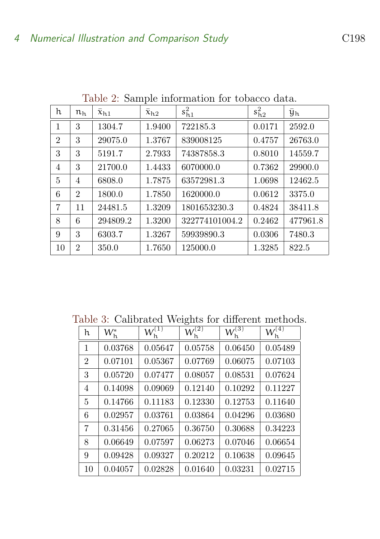|                |                        |                     | л.                  |                |            |          |
|----------------|------------------------|---------------------|---------------------|----------------|------------|----------|
| h              | $\mathfrak{n}_{\rm h}$ | $\overline{x}_{h1}$ | $\overline{x}_{h2}$ | $s_{h1}^2$     | $s_{h2}^2$ | Yh       |
| $\mathbf{1}$   | 3                      | 1304.7              | 1.9400              | 722185.3       | 0.0171     | 2592.0   |
| $\overline{2}$ | 3                      | 29075.0             | 1.3767              | 839008125      | 0.4757     | 26763.0  |
| 3              | 3                      | 5191.7              | 2.7933              | 74387858.3     | 0.8010     | 14559.7  |
| 4              | 3                      | 21700.0             | 1.4433              | 6070000.0      | 0.7362     | 29900.0  |
| 5              | 4                      | 6808.0              | 1.7875              | 63572981.3     | 1.0698     | 12462.5  |
| 6              | $\overline{2}$         | 1800.0              | 1.7850              | 1620000.0      | 0.0612     | 3375.0   |
| 7              | 11                     | 24481.5             | 1.3209              | 1801653230.3   | 0.4824     | 38411.8  |
| 8              | 6                      | 294809.2            | 1.3200              | 322774101004.2 | 0.2462     | 477961.8 |
| 9              | 3                      | 6303.7              | 1.3267              | 59939890.3     | 0.0306     | 7480.3   |
| 10             | $\overline{2}$         | 350.0               | 1.7650              | 125000.0       | 1.3285     | 822.5    |

<span id="page-8-0"></span>Table 2: Sample information for tobacco data.

Table 3: Calibrated Weights for different methods.

<span id="page-8-1"></span>

| h              | $W_{\rm h}^*$ | $W_\mathrm{h}^{(1)}$ | $\mathsf{W}_\mathrm{h}^{(2)}$ | $W_\mathrm{h}^{(3)}$ | $\mathsf{W}_\mathrm{h}^{(4)}$ |
|----------------|---------------|----------------------|-------------------------------|----------------------|-------------------------------|
| 1              | 0.03768       | 0.05647              | 0.05758                       | 0.06450              | 0.05489                       |
| $\overline{2}$ | 0.07101       | 0.05367              | 0.07769                       | 0.06075              | 0.07103                       |
| 3              | 0.05720       | 0.07477              | 0.08057                       | 0.08531              | 0.07624                       |
| 4              | 0.14098       | 0.09069              | 0.12140                       | 0.10292              | 0.11227                       |
| 5              | 0.14766       | 0.11183              | 0.12330                       | 0.12753              | 0.11640                       |
| 6              | 0.02957       | 0.03761              | 0.03864                       | 0.04296              | 0.03680                       |
| 7              | 0.31456       | 0.27065              | 0.36750                       | 0.30688              | 0.34223                       |
| 8              | 0.06649       | 0.07597              | 0.06273                       | 0.07046              | 0.06654                       |
| 9              | 0.09428       | 0.09327              | 0.20212                       | 0.10638              | 0.09645                       |
| 10             | 0.04057       | 0.02828              | 0.01640                       | 0.03231              | 0.02715                       |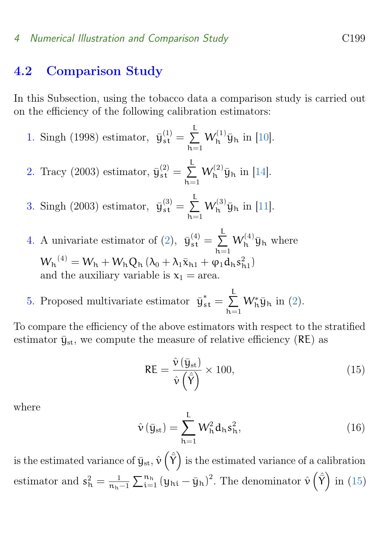#### <span id="page-9-3"></span>4 Numerical Illustration and Comparison Study C199

### <span id="page-9-0"></span>4.2 Comparison Study

In this Subsection, using the tobacco data a comparison study is carried out on the efficiency of the following calibration estimators:

1. Singh (1998) estimator, 
$$
\bar{y}_{st}^{(1)} = \sum_{h=1}^{L} W_h^{(1)} \bar{y}_h
$$
 in [10].

2. Tracy (2003) estimator, 
$$
\bar{y}_{st}^{(2)} = \sum_{h=1}^{L} W_h^{(2)} \bar{y}_h
$$
 in [14].

3. Singh (2003) estimator,  $\bar{y}_{s t}^{(3)} = \sum_{ }^{L}$  $h=1$  $W_{h}^{(3)}\bar{y}_{h}$  in [\[11\]](#page-13-2).

4. A univariate estimator of [\(2\)](#page-3-0),  $\bar{y}_{st}^{(4)} = \sum_{ }^{L}$  $h=1$  $W_h^{(4)}\bar{y}_h$  where  $W_{h}^{(4)} = W_{h} + W_{h} Q_{h} (\lambda_{0} + \lambda_{1} \bar{x}_{h1} + \varphi_{1} d_{h} s_{h1}^{2})$ and the auxiliary variable is  $x_1$  = area.

5. Proposed multivariate estimator  $\bar{y}_{st}^* = \sum^L$  $h=1$  $W_h^* \bar{y}_h$  in [\(2\)](#page-3-0).

To compare the efficiency of the above estimators with respect to the stratified estimator  $\bar{y}_{st}$ , we compute the measure of relative efficiency (RE) as

<span id="page-9-1"></span>
$$
RE = \frac{\hat{\nu}(\bar{y}_{st})}{\hat{\nu}(\hat{\bar{Y}})} \times 100,
$$
\n(15)

where

<span id="page-9-2"></span>
$$
\hat{\mathbf{v}}\left(\bar{\mathbf{y}}_{\rm st}\right) = \sum_{h=1}^{L} \mathbf{W}_h^2 \mathbf{d}_h \mathbf{s}_h^2,\tag{16}
$$

is the estimated variance of  $\bar{y}_{st}$ ,  $\hat{v}(\hat{\bar{\Upsilon}})$  is the estimated variance of a calibration estimator and  $s_h^2 = \frac{1}{n_h}$  $\frac{1}{n_h-1}\sum_{i=1}^{n_h} (y_{hi} - \bar{y}_h)^2$ . The denominator  $\hat{v}(\hat{\bar{Y}})$  in [\(15\)](#page-9-1)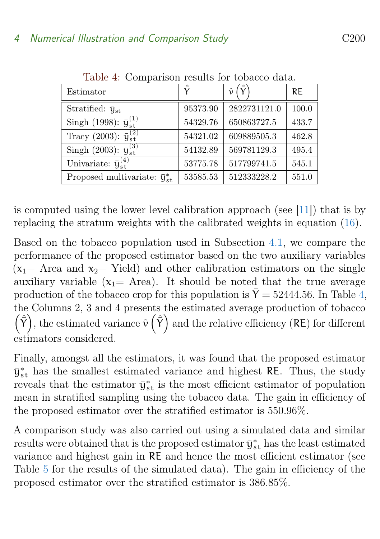<span id="page-10-1"></span>

| Estimator                               | $\bar{\mathsf{v}}$ | $\hat{v}$    | <b>RE</b> |
|-----------------------------------------|--------------------|--------------|-----------|
| Stratified: $\bar{y}_{st}$              | 95373.90           | 2822731121.0 | 100.0     |
| Singh (1998): $\bar{y}_{s}^{(1)}$       | 54329.76           | 650863727.5  | 433.7     |
| Tracy (2003): $\bar{y}_{st}^{(2)}$      | 54321.02           | 609889505.3  | 462.8     |
| Singh (2003): $\bar{y}_{st}^{(3)}$      | 54132.89           | 569781129.3  | 495.4     |
| Univariate: $\bar{u}_{st}^{(4)}$        | 53775.78           | 517799741.5  | 545.1     |
| Proposed multivariate: $\bar{y}_{st}^*$ | 53585.53           | 512333228.2  | 551.0     |

<span id="page-10-0"></span>Table 4: Comparison results for tobacco data.

is computed using the lower level calibration approach (see [\[11\]](#page-13-2)) that is by replacing the stratum weights with the calibrated weights in equation [\(16\)](#page-9-2).

Based on the tobacco population used in Subsection [4.1,](#page-6-1) we compare the performance of the proposed estimator based on the two auxiliary variables  $(x_1=$  Area and  $x_2=$  Yield) and other calibration estimators on the single auxiliary variable  $(x_1= Area)$ . It should be noted that the true average production of the tobacco crop for this population is  $\overline{Y} = 52444.56$ . In Table [4,](#page-10-0) the Columns 2, 3 and 4 presents the estimated average production of tobacco  $(\hat{\bar{\mathsf{Y}}})$ , the estimated variance  $\hat{\mathsf{v}}(\hat{\bar{\mathsf{Y}}})$  and the relative efficiency (RE) for different estimators considered.

Finally, amongst all the estimators, it was found that the proposed estimator  $\bar{y}_{st}^{*}$  has the smallest estimated variance and highest RE. Thus, the study reveals that the estimator  $\bar{y}_{st}^*$  is the most efficient estimator of population mean in stratified sampling using the tobacco data. The gain in efficiency of the proposed estimator over the stratified estimator is 550.96%.

A comparison study was also carried out using a simulated data and similar results were obtained that is the proposed estimator  $\bar{y}_{s t}^*$  has the least estimated variance and highest gain in RE and hence the most efficient estimator (see Table [5](#page-11-1) for the results of the simulated data). The gain in efficiency of the proposed estimator over the stratified estimator is 386.85%.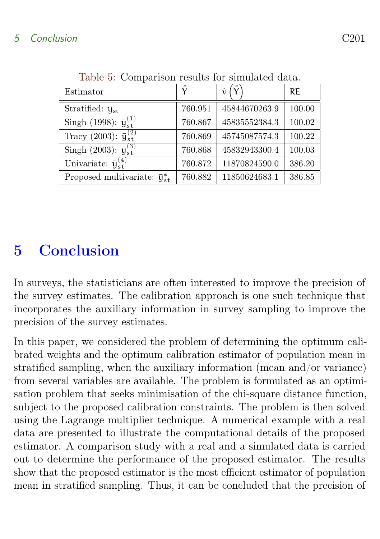| Estimator                               |         | $\hat{\mathbf{v}}$<br>$\checkmark$ | <b>RE</b> |
|-----------------------------------------|---------|------------------------------------|-----------|
| Stratified: $\bar{y}_{st}$              | 760.951 | 45844670263.9                      | 100.00    |
| Singh (1998): $\bar{y}_{s}^{(1)}$       | 760.867 | 45835552384.3                      | 100.02    |
| Tracy (2003): $\bar{y}_{st}^{(2)}$      | 760.869 | 45745087574.3                      | 100.22    |
| Singh (2003): $\bar{y}_{st}^{(3)}$      | 760.868 | 45832943300.4                      | 100.03    |
| Univariate: $\bar{u}_{st}^{(4)}$        | 760.872 | 11870824590.0                      | 386.20    |
| Proposed multivariate: $\bar{y}_{st}^*$ | 760.882 | 11850624683.1                      | 386.85    |

<span id="page-11-1"></span>Table 5: Comparison results for simulated data.

## <span id="page-11-0"></span>5 Conclusion

In surveys, the statisticians are often interested to improve the precision of the survey estimates. The calibration approach is one such technique that incorporates the auxiliary information in survey sampling to improve the precision of the survey estimates.

In this paper, we considered the problem of determining the optimum calibrated weights and the optimum calibration estimator of population mean in stratified sampling, when the auxiliary information (mean and/or variance) from several variables are available. The problem is formulated as an optimisation problem that seeks minimisation of the chi-square distance function, subject to the proposed calibration constraints. The problem is then solved using the Lagrange multiplier technique. A numerical example with a real data are presented to illustrate the computational details of the proposed estimator. A comparison study with a real and a simulated data is carried out to determine the performance of the proposed estimator. The results show that the proposed estimator is the most efficient estimator of population mean in stratified sampling. Thus, it can be concluded that the precision of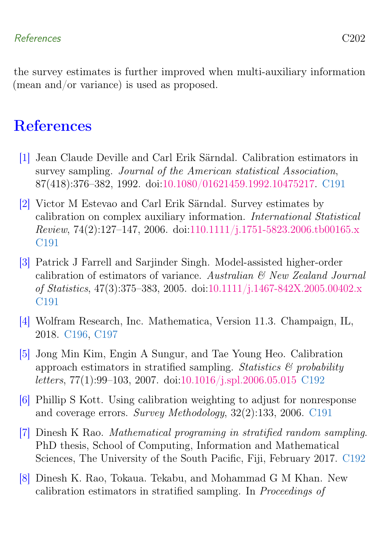the survey estimates is further improved when multi-auxiliary information (mean and/or variance) is used as proposed.

### <span id="page-12-0"></span>**References**

- <span id="page-12-1"></span>[1] Jean Claude Deville and Carl Erik Särndal. Calibration estimators in survey sampling. Journal of the American statistical Association, 87(418):376–382, 1992. doi[:10.1080/01621459.1992.10475217.](https://doi.org/10.1080/01621459.1992.10475217) [C191](#page-1-1)
- <span id="page-12-2"></span>[2] Victor M Estevao and Carl Erik Särndal. Survey estimates by calibration on complex auxiliary information. International Statistical Review, 74(2):127–147, 2006. doi[:110.1111/j.1751-5823.2006.tb00165.x](https://doi.org/110.1111/j.1751-5823.2006.tb00165.x) [C191](#page-1-1)
- <span id="page-12-3"></span>[3] Patrick J Farrell and Sarjinder Singh. Model-assisted higher-order calibration of estimators of variance. Australian  $\mathcal{C}$  New Zealand Journal of Statistics, 47(3):375–383, 2005. doi[:10.1111/j.1467-842X.2005.00402.x](https://doi.org/10.1111/j.1467-842X.2005.00402.x ) [C191](#page-1-1)
- <span id="page-12-8"></span>[4] Wolfram Research, Inc. Mathematica, Version 11.3. Champaign, IL, 2018. [C196,](#page-6-4) [C197](#page-7-1)
- <span id="page-12-5"></span>[5] Jong Min Kim, Engin A Sungur, and Tae Young Heo. Calibration approach estimators in stratified sampling. Statistics  $\mathcal{C}$  probability letters, 77(1):99–103, 2007. doi[:10.1016/j.spl.2006.05.015](https://doi.org/10.1016/j.spl.2006.05.015) [C192](#page-2-1)
- <span id="page-12-4"></span>[6] Phillip S Kott. Using calibration weighting to adjust for nonresponse and coverage errors. Survey Methodology, 32(2):133, 2006. [C191](#page-1-1)
- <span id="page-12-7"></span>[7] Dinesh K Rao. Mathematical programing in stratified random sampling. PhD thesis, School of Computing, Information and Mathematical Sciences, The University of the South Pacific, Fiji, February 2017. [C192](#page-2-1)
- <span id="page-12-6"></span>[8] Dinesh K. Rao, Tokaua. Tekabu, and Mohammad G M Khan. New calibration estimators in stratified sampling. In Proceedings of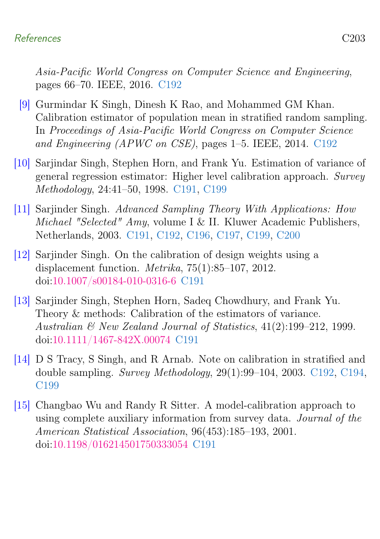#### References C203

Asia-Pacific World Congress on Computer Science and Engineering, pages 66–70. IEEE, 2016. [C192](#page-2-1)

- <span id="page-13-5"></span>[9] Gurmindar K Singh, Dinesh K Rao, and Mohammed GM Khan. Calibration estimator of population mean in stratified random sampling. In Proceedings of Asia-Pacific World Congress on Computer Science and Engineering (APWC on CSE), pages 1–5. IEEE, 2014. [C192](#page-2-1)
- <span id="page-13-0"></span>[10] Sarjindar Singh, Stephen Horn, and Frank Yu. Estimation of variance of general regression estimator: Higher level calibration approach. Survey Methodology, 24:41–50, 1998. [C191,](#page-1-1) [C199](#page-9-3)
- <span id="page-13-2"></span>[11] Sarjinder Singh. Advanced Sampling Theory With Applications: How Michael "Selected" Amy, volume I & II. Kluwer Academic Publishers, Netherlands, 2003. [C191,](#page-1-1) [C192,](#page-2-1) [C196,](#page-6-4) [C197,](#page-7-1) [C199,](#page-9-3) [C200](#page-10-1)
- <span id="page-13-3"></span>[12] Sarjinder Singh. On the calibration of design weights using a displacement function. Metrika, 75(1):85–107, 2012. doi[:10.1007/s00184-010-0316-6](https://doi.org/10.1007/s00184-010-0316-6) [C191](#page-1-1)
- <span id="page-13-1"></span>[13] Sarjinder Singh, Stephen Horn, Sadeq Chowdhury, and Frank Yu. Theory & methods: Calibration of the estimators of variance. Australian & New Zealand Journal of Statistics, 41(2):199–212, 1999. doi[:10.1111/1467-842X.00074](https://doi.org/10.1111/1467-842X.00074) [C191](#page-1-1)
- <span id="page-13-6"></span>[14] D S Tracy, S Singh, and R Arnab. Note on calibration in stratified and double sampling. Survey Methodology, 29(1):99–104, 2003. [C192,](#page-2-1) [C194,](#page-4-2) [C199](#page-9-3)
- <span id="page-13-4"></span>[15] Changbao Wu and Randy R Sitter. A model-calibration approach to using complete auxiliary information from survey data. Journal of the American Statistical Association, 96(453):185–193, 2001. doi[:10.1198/016214501750333054](https://doi.org/10.1198/016214501750333054) [C191](#page-1-1)